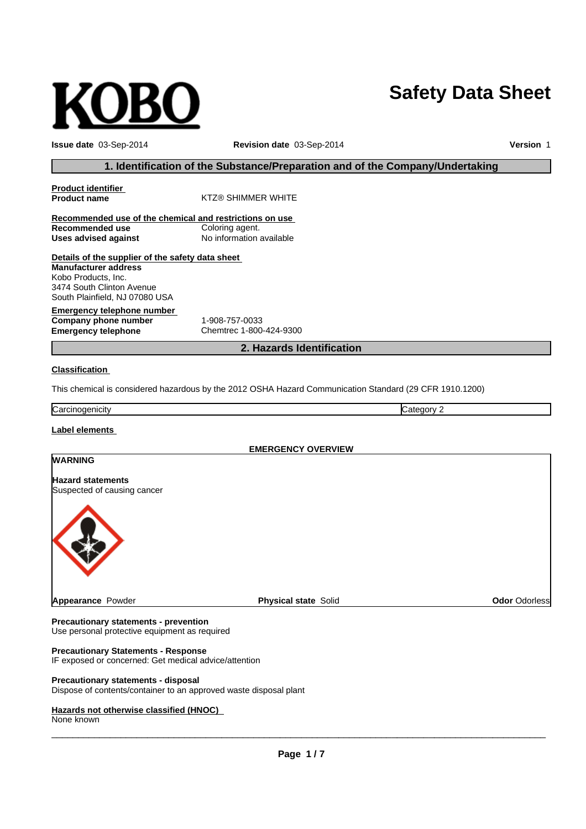# OB

**Issue date** 03-Sep-2014 **Revision date** 03-Sep-2014 **Version** 1

**Safety Data Sheet**

#### **1. Identification of the Substance/Preparation and of the Company/Undertaking**

| <b>Product identifier</b>                               |                                                                                                         |
|---------------------------------------------------------|---------------------------------------------------------------------------------------------------------|
| <b>Product name</b>                                     | <b>KTZ® SHIMMER WHITE</b>                                                                               |
| Recommended use of the chemical and restrictions on use |                                                                                                         |
| Recommended use                                         | Coloring agent.                                                                                         |
| <b>Uses advised against</b>                             | No information available                                                                                |
| Details of the supplier of the safety data sheet        |                                                                                                         |
| <b>Manufacturer address</b>                             |                                                                                                         |
| Kobo Products, Inc.                                     |                                                                                                         |
| 3474 South Clinton Avenue                               |                                                                                                         |
| South Plainfield, NJ 07080 USA                          |                                                                                                         |
| Emergency telephone number                              |                                                                                                         |
| Company phone number                                    | 1-908-757-0033                                                                                          |
| <b>Emergency telephone</b>                              | Chemtrec 1-800-424-9300                                                                                 |
|                                                         | 2. Hazards Identification                                                                               |
| <b>Classification</b>                                   |                                                                                                         |
|                                                         | This chemical is considered hazardous by the 2012 OSHA Hazard Communication Standard (29 CFR 1910.1200) |
| Carcinogenicity                                         | Category 2                                                                                              |
| Label elements                                          |                                                                                                         |
|                                                         | <b>EMERGENCY OVERVIEW</b>                                                                               |

# **WARNING Hazard statements** Suspected of causing cancer **Appearance** Powder **Physical state** Solid **Odor** Odorless

**Precautionary statements - prevention** Use personal protective equipment as required

#### **Precautionary Statements - Response**

IF exposed or concerned: Get medical advice/attention

#### **Precautionary statements - disposal**

Dispose of contents/container to an approved waste disposal plant

#### **Hazards not otherwise classified (HNOC)**

None known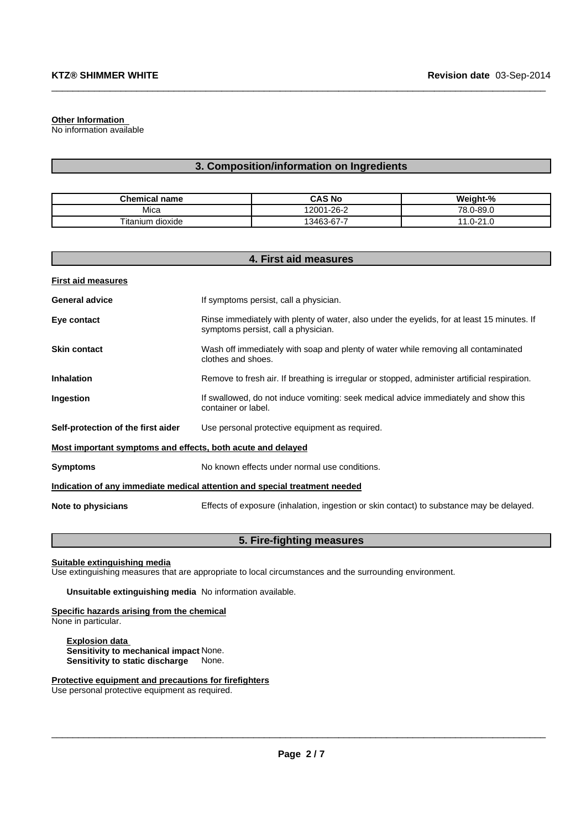#### **Other Information**

No information available

#### **3. Composition/information on Ingredients**

 $\_$  ,  $\_$  ,  $\_$  ,  $\_$  ,  $\_$  ,  $\_$  ,  $\_$  ,  $\_$  ,  $\_$  ,  $\_$  ,  $\_$  ,  $\_$  ,  $\_$  ,  $\_$  ,  $\_$  ,  $\_$  ,  $\_$  ,  $\_$  ,  $\_$  ,  $\_$  ,  $\_$  ,  $\_$  ,  $\_$  ,  $\_$  ,  $\_$  ,  $\_$  ,  $\_$  ,  $\_$  ,  $\_$  ,  $\_$  ,  $\_$  ,  $\_$  ,  $\_$  ,  $\_$  ,  $\_$  ,  $\_$  ,  $\_$  ,

| <b>Chemical name</b> | CAS No     | Weight-%              |
|----------------------|------------|-----------------------|
| Mica                 | 12001-26-2 | 78.0-89.0             |
| Titanium<br>dioxide  | 13463-67-7 | $0 - 21$<br>11<br>ن ا |

| 4. First aid measures                                                      |                                                                                                                                    |  |
|----------------------------------------------------------------------------|------------------------------------------------------------------------------------------------------------------------------------|--|
| <b>First aid measures</b>                                                  |                                                                                                                                    |  |
| <b>General advice</b>                                                      | If symptoms persist, call a physician.                                                                                             |  |
| Eye contact                                                                | Rinse immediately with plenty of water, also under the eyelids, for at least 15 minutes. If<br>symptoms persist, call a physician. |  |
| <b>Skin contact</b>                                                        | Wash off immediately with soap and plenty of water while removing all contaminated<br>clothes and shoes.                           |  |
| <b>Inhalation</b>                                                          | Remove to fresh air. If breathing is irregular or stopped, administer artificial respiration.                                      |  |
| Ingestion                                                                  | If swallowed, do not induce vomiting: seek medical advice immediately and show this<br>container or label.                         |  |
| Self-protection of the first aider                                         | Use personal protective equipment as required.                                                                                     |  |
| Most important symptoms and effects, both acute and delayed                |                                                                                                                                    |  |
| <b>Symptoms</b>                                                            | No known effects under normal use conditions.                                                                                      |  |
| Indication of any immediate medical attention and special treatment needed |                                                                                                                                    |  |
| Note to physicians                                                         | Effects of exposure (inhalation, ingestion or skin contact) to substance may be delayed.                                           |  |

#### **5. Fire-fighting measures**

#### **Suitable extinguishing media**

Use extinguishing measures that are appropriate to local circumstances and the surrounding environment.

**Unsuitable extinguishing media** No information available.

## **Specific hazards arising from the chemical**

None in particular.

**Explosion data Sensitivity to mechanical impact** None. **Sensitivity to static discharge** None.

**Protective equipment and precautions for firefighters**

Use personal protective equipment as required.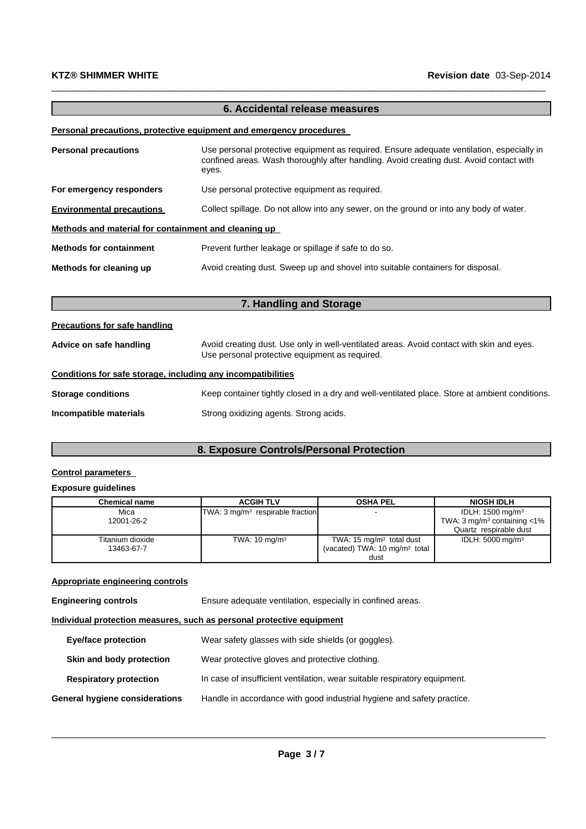#### **6. Accidental release measures**

 $\_$  ,  $\_$  ,  $\_$  ,  $\_$  ,  $\_$  ,  $\_$  ,  $\_$  ,  $\_$  ,  $\_$  ,  $\_$  ,  $\_$  ,  $\_$  ,  $\_$  ,  $\_$  ,  $\_$  ,  $\_$  ,  $\_$  ,  $\_$  ,  $\_$  ,  $\_$  ,  $\_$  ,  $\_$  ,  $\_$  ,  $\_$  ,  $\_$  ,  $\_$  ,  $\_$  ,  $\_$  ,  $\_$  ,  $\_$  ,  $\_$  ,  $\_$  ,  $\_$  ,  $\_$  ,  $\_$  ,  $\_$  ,  $\_$  ,

#### **Personal precautions, protective equipment and emergency procedures**

| <b>Personal precautions</b>                          | Use personal protective equipment as required. Ensure adequate ventilation, especially in<br>confined areas. Wash thoroughly after handling. Avoid creating dust. Avoid contact with<br>eyes. |  |
|------------------------------------------------------|-----------------------------------------------------------------------------------------------------------------------------------------------------------------------------------------------|--|
| For emergency responders                             | Use personal protective equipment as required.                                                                                                                                                |  |
| <b>Environmental precautions</b>                     | Collect spillage. Do not allow into any sewer, on the ground or into any body of water.                                                                                                       |  |
| Methods and material for containment and cleaning up |                                                                                                                                                                                               |  |
| <b>Methods for containment</b>                       | Prevent further leakage or spillage if safe to do so.                                                                                                                                         |  |
| Methods for cleaning up                              | Avoid creating dust. Sweep up and shovel into suitable containers for disposal.                                                                                                               |  |
|                                                      |                                                                                                                                                                                               |  |

### **7. Handling and Storage**

#### **Precautions for safe handling**

| Advice on safe handling   | Avoid creating dust. Use only in well-ventilated areas. Avoid contact with skin and eyes.<br>Use personal protective equipment as required. |  |
|---------------------------|---------------------------------------------------------------------------------------------------------------------------------------------|--|
|                           | Conditions for safe storage, including any incompatibilities                                                                                |  |
| <b>Storage conditions</b> | Keep container tightly closed in a dry and well-ventilated place. Store at ambient conditions.                                              |  |
| Incompatible materials    | Strong oxidizing agents. Strong acids.                                                                                                      |  |

### **8. Exposure Controls/Personal Protection**

#### **Control parameters**

#### **Exposure guidelines**

| <b>Chemical name</b> | <b>ACGIH TLV</b>                            | <b>OSHA PEL</b>                          | <b>NIOSH IDLH</b>                            |
|----------------------|---------------------------------------------|------------------------------------------|----------------------------------------------|
| Mica                 | TWA: $3 \text{ mg/m}^3$ respirable fraction |                                          | IDLH: $1500 \text{ mg/m}^3$                  |
| 12001-26-2           |                                             |                                          | TWA: $3 \text{ mg/m}^3$ containing $\lt 1\%$ |
|                      |                                             |                                          | Quartz respirable dust                       |
| Titanium dioxide     | TWA: $10 \text{ mg/m}^3$                    | TWA: $15 \text{ mg/m}^3$ total dust      | IDLH: 5000 mg/m <sup>3</sup>                 |
| 13463-67-7           |                                             | (vacated) TWA: $10 \text{ mg/m}^3$ total |                                              |
|                      |                                             | dust                                     |                                              |

#### **Appropriate engineering controls**

**Individual protection measures, such as personal protective equipment**

| Eye/face protection            | Wear safety glasses with side shields (or goggles).                       |
|--------------------------------|---------------------------------------------------------------------------|
| Skin and body protection       | Wear protective gloves and protective clothing.                           |
| <b>Respiratory protection</b>  | In case of insufficient ventilation, wear suitable respiratory equipment. |
| General hygiene considerations | Handle in accordance with good industrial hygiene and safety practice.    |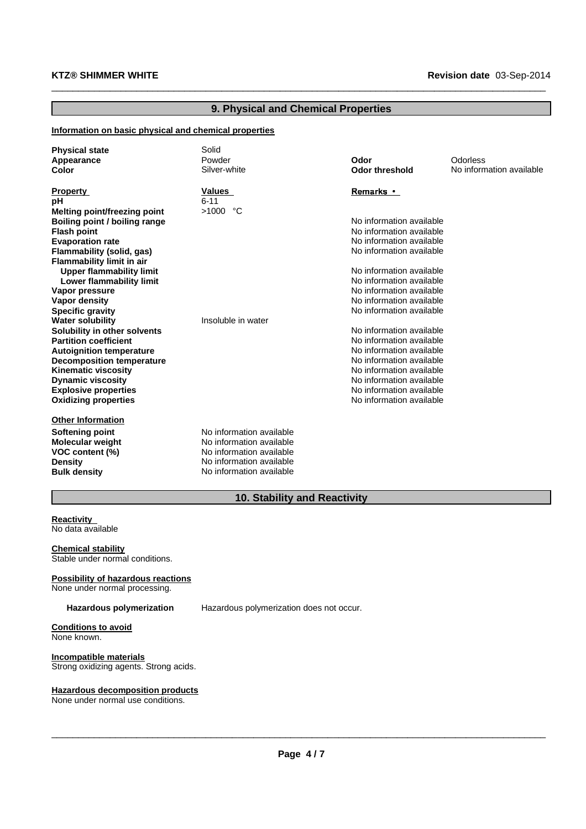#### **9. Physical and Chemical Properties**

 $\_$  ,  $\_$  ,  $\_$  ,  $\_$  ,  $\_$  ,  $\_$  ,  $\_$  ,  $\_$  ,  $\_$  ,  $\_$  ,  $\_$  ,  $\_$  ,  $\_$  ,  $\_$  ,  $\_$  ,  $\_$  ,  $\_$  ,  $\_$  ,  $\_$  ,  $\_$  ,  $\_$  ,  $\_$  ,  $\_$  ,  $\_$  ,  $\_$  ,  $\_$  ,  $\_$  ,  $\_$  ,  $\_$  ,  $\_$  ,  $\_$  ,  $\_$  ,  $\_$  ,  $\_$  ,  $\_$  ,  $\_$  ,  $\_$  ,

#### **Information on basic physical and chemical properties**

| <b>Physical state</b><br>Appearance<br>Color                                                                                        | Solid<br>Powder<br>Silver-white                                                                                                          | Odor<br><b>Odor threshold</b>                                                                                | Odorless<br>No information available |
|-------------------------------------------------------------------------------------------------------------------------------------|------------------------------------------------------------------------------------------------------------------------------------------|--------------------------------------------------------------------------------------------------------------|--------------------------------------|
| <b>Property</b><br>рH<br>Melting point/freezing point<br>Boiling point / boiling range<br><b>Flash point</b>                        | Values<br>$6 - 11$<br>$>1000$ °C                                                                                                         | <b>Remarks</b> •<br>No information available<br>No information available                                     |                                      |
| <b>Evaporation rate</b><br>Flammability (solid, gas)<br>Flammability limit in air<br><b>Upper flammability limit</b>                |                                                                                                                                          | No information available<br>No information available<br>No information available                             |                                      |
| Lower flammability limit<br>Vapor pressure<br><b>Vapor density</b><br><b>Specific gravity</b><br><b>Water solubility</b>            | Insoluble in water                                                                                                                       | No information available<br>No information available<br>No information available<br>No information available |                                      |
| Solubility in other solvents<br><b>Partition coefficient</b><br><b>Autoignition temperature</b><br><b>Decomposition temperature</b> |                                                                                                                                          | No information available<br>No information available<br>No information available<br>No information available |                                      |
| <b>Kinematic viscosity</b><br><b>Dynamic viscosity</b><br><b>Explosive properties</b><br><b>Oxidizing properties</b>                |                                                                                                                                          | No information available<br>No information available<br>No information available<br>No information available |                                      |
| <b>Other Information</b><br><b>Softening point</b><br><b>Molecular weight</b><br>VOC content (%)<br>Density<br><b>Bulk density</b>  | No information available<br>No information available<br>No information available<br>No information available<br>No information available |                                                                                                              |                                      |

## **10. Stability and Reactivity**

**Reactivity** No data available

**Chemical stability** Stable under normal conditions.

### **Possibility of hazardous reactions**

None under normal processing.

**Hazardous polymerization** Hazardous polymerization does not occur.

#### **Conditions to avoid** None known.

#### **Incompatible materials**

Strong oxidizing agents. Strong acids.

#### **Hazardous decomposition products**

None under normal use conditions.

\_\_\_\_\_\_\_\_\_\_\_\_\_\_\_\_\_\_\_\_\_\_\_\_\_\_\_\_\_\_\_\_\_\_\_\_\_\_\_\_\_\_\_\_\_\_\_\_\_\_\_\_\_\_\_\_\_\_\_\_\_\_\_\_\_\_\_\_\_\_\_\_\_\_\_\_\_\_\_\_\_\_\_\_\_\_\_\_\_\_\_\_\_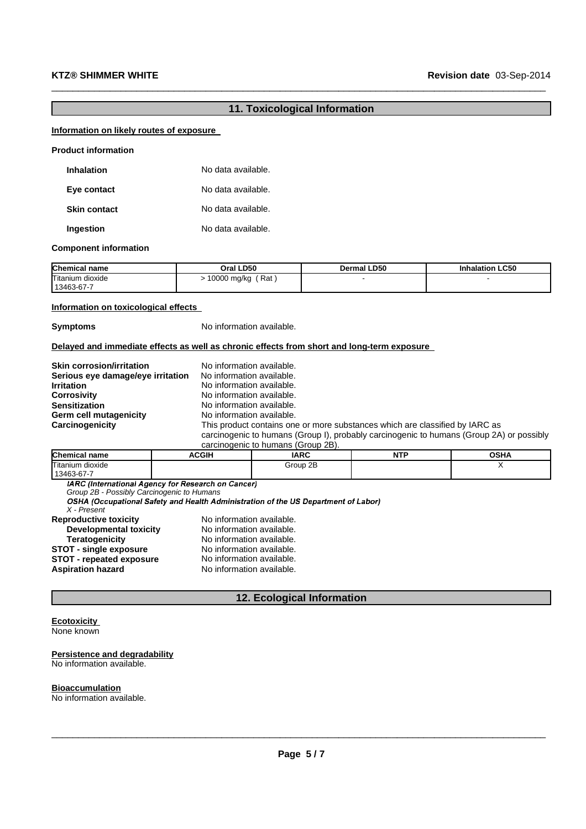#### **11. Toxicological Information**

 $\_$  ,  $\_$  ,  $\_$  ,  $\_$  ,  $\_$  ,  $\_$  ,  $\_$  ,  $\_$  ,  $\_$  ,  $\_$  ,  $\_$  ,  $\_$  ,  $\_$  ,  $\_$  ,  $\_$  ,  $\_$  ,  $\_$  ,  $\_$  ,  $\_$  ,  $\_$  ,  $\_$  ,  $\_$  ,  $\_$  ,  $\_$  ,  $\_$  ,  $\_$  ,  $\_$  ,  $\_$  ,  $\_$  ,  $\_$  ,  $\_$  ,  $\_$  ,  $\_$  ,  $\_$  ,  $\_$  ,  $\_$  ,  $\_$  ,

#### **Information on likely routes of exposure**

| <b>Product information</b> |                    |
|----------------------------|--------------------|
| Inhalation                 | No data available. |
| Eye contact                | No data available. |
| <b>Skin contact</b>        | No data available. |
| Ingestion                  | No data available. |

#### **Component information**

| <b>Chemical name</b>           | Oral LD50          | <b>Dermal LD50</b> | <b>Inhalation LC50</b> |
|--------------------------------|--------------------|--------------------|------------------------|
| Titanium dioxide<br>13463-67-7 | Rat<br>10000 mg/kg |                    |                        |

#### **Information on toxicological effects**

**Symptoms** No information available.

#### **Delayed and immediate effects as well as chronic effects from short and long-term exposure**

| <b>Skin corrosion/irritation</b>  | No information available.                                                                |
|-----------------------------------|------------------------------------------------------------------------------------------|
| Serious eye damage/eye irritation | No information available.                                                                |
| <b>Irritation</b>                 | No information available.                                                                |
| <b>Corrosivity</b>                | No information available.                                                                |
| <b>Sensitization</b>              | No information available.                                                                |
| Germ cell mutagenicity            | No information available.                                                                |
| Carcinogenicity                   | This product contains one or more substances which are classified by IARC as             |
|                                   | carcinogenic to humans (Group I), probably carcinogenic to humans (Group 2A) or possibly |
|                                   | carcinogenic to humans (Group 2B)                                                        |

| <b>Chemical name</b>           | ACGIH | <b>IARC</b> | NTP | <b>OSHA</b> |
|--------------------------------|-------|-------------|-----|-------------|
| Titanium dioxide<br>13463-67-7 |       | Group 2B    |     |             |

IARC (International Agency for Research on Cancer)

*Group 2B - Possibly Carcinogenic to Humans*

*X - Present*

| <b>Reproductive toxicity</b>    | No information available. |
|---------------------------------|---------------------------|
| <b>Developmental toxicity</b>   | No information available. |
| <b>Teratogenicity</b>           | No information available. |
| <b>STOT - single exposure</b>   | No information available. |
| <b>STOT - repeated exposure</b> | No information available. |
| <b>Aspiration hazard</b>        | No information available. |
|                                 |                           |

#### **12. Ecological Information**

#### **Ecotoxicity** None known

#### **Persistence and degradability** No information available.

#### **Bioaccumulation**

No information available.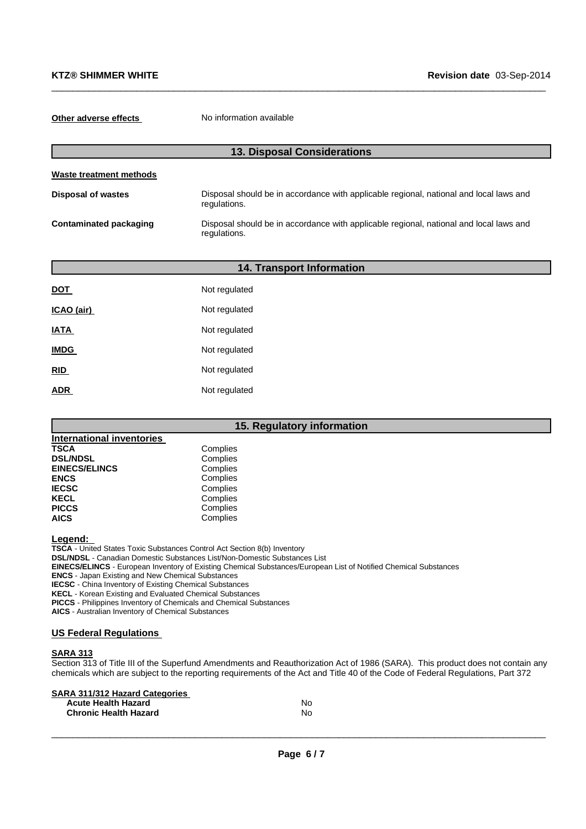**Other adverse effects** No information available

| <b>13. Disposal Considerations</b> |                                                                                                        |  |  |
|------------------------------------|--------------------------------------------------------------------------------------------------------|--|--|
| <b>Waste treatment methods</b>     |                                                                                                        |  |  |
| <b>Disposal of wastes</b>          | Disposal should be in accordance with applicable regional, national and local laws and<br>regulations. |  |  |
| Contaminated packaging             | Disposal should be in accordance with applicable regional, national and local laws and<br>regulations. |  |  |

 $\_$  ,  $\_$  ,  $\_$  ,  $\_$  ,  $\_$  ,  $\_$  ,  $\_$  ,  $\_$  ,  $\_$  ,  $\_$  ,  $\_$  ,  $\_$  ,  $\_$  ,  $\_$  ,  $\_$  ,  $\_$  ,  $\_$  ,  $\_$  ,  $\_$  ,  $\_$  ,  $\_$  ,  $\_$  ,  $\_$  ,  $\_$  ,  $\_$  ,  $\_$  ,  $\_$  ,  $\_$  ,  $\_$  ,  $\_$  ,  $\_$  ,  $\_$  ,  $\_$  ,  $\_$  ,  $\_$  ,  $\_$  ,  $\_$  ,

| 14. Transport Information |               |  |  |
|---------------------------|---------------|--|--|
| <b>DOT</b>                | Not regulated |  |  |
| ICAO (air)                | Not regulated |  |  |
| <b>IATA</b>               | Not regulated |  |  |
| <b>IMDG</b>               | Not regulated |  |  |
| RID                       | Not regulated |  |  |
| <b>ADR</b>                | Not regulated |  |  |

#### **15. Regulatory information**

| International inventories |          |
|---------------------------|----------|
| <b>TSCA</b>               | Complies |
| <b>DSL/NDSL</b>           | Complies |
| <b>EINECS/ELINCS</b>      | Complies |
| <b>ENCS</b>               | Complies |
| <b>IECSC</b>              | Complies |
| <b>KECL</b>               | Complies |
| <b>PICCS</b>              | Complies |
| <b>AICS</b>               | Complies |

**Legend:**

**TSCA** - United States Toxic Substances Control Act Section 8(b) Inventory

**DSL/NDSL** - Canadian Domestic Substances List/Non-Domestic Substances List

**EINECS/ELINCS** - European Inventory of Existing Chemical Substances/European List of Notified Chemical Substances

**ENCS** - Japan Existing and New Chemical Substances

**IECSC** - China Inventory of Existing Chemical Substances

**KECL** - Korean Existing and Evaluated Chemical Substances

**PICCS** - Philippines Inventory of Chemicals and Chemical Substances

**AICS** - Australian Inventory of Chemical Substances

#### **US Federal Regulations**

#### **SARA 313**

Section 313 of Title III of the Superfund Amendments and Reauthorization Act of 1986 (SARA). This product does not contain any chemicals which are subject to the reporting requirements of the Act and Title 40 of the Code of Federal Regulations, Part 372

| <b>SARA 311/312 Hazard Categories</b> |    |
|---------------------------------------|----|
| <b>Acute Health Hazard</b>            | N٥ |
| <b>Chronic Health Hazard</b>          | N٥ |